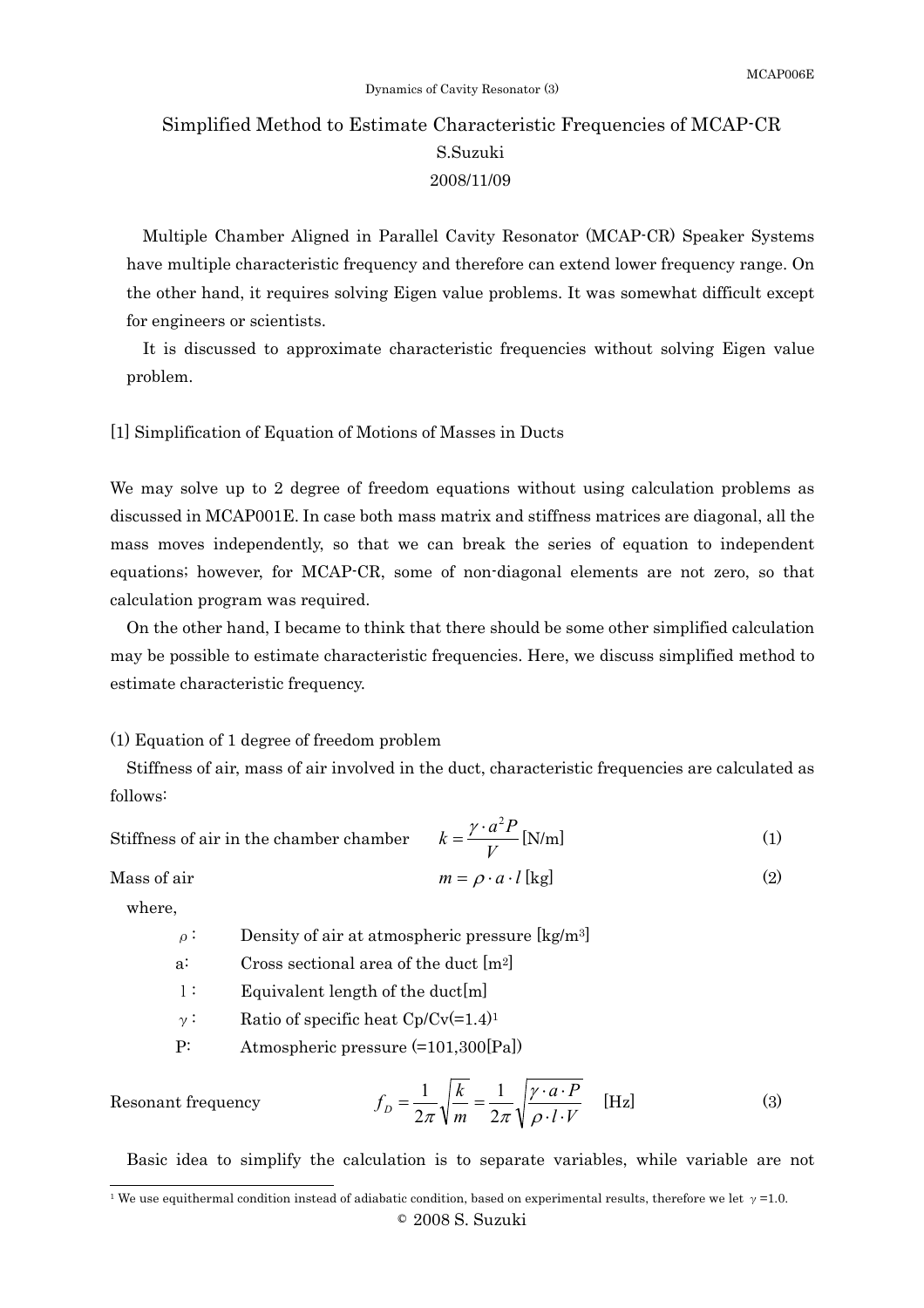# Simplified Method to Estimate Characteristic Frequencies of MCAP-CR S.Suzuki 2008/11/09

Multiple Chamber Aligned in Parallel Cavity Resonator (MCAP-CR) Speaker Systems have multiple characteristic frequency and therefore can extend lower frequency range. On the other hand, it requires solving Eigen value problems. It was somewhat difficult except for engineers or scientists.

It is discussed to approximate characteristic frequencies without solving Eigen value problem.

[1] Simplification of Equation of Motions of Masses in Ducts

We may solve up to 2 degree of freedom equations without using calculation problems as discussed in MCAP001E. In case both mass matrix and stiffness matrices are diagonal, all the mass moves independently, so that we can break the series of equation to independent equations; however, for MCAP-CR, some of non-diagonal elements are not zero, so that calculation program was required.

On the other hand, I became to think that there should be some other simplified calculation may be possible to estimate characteristic frequencies. Here, we discuss simplified method to estimate characteristic frequency.

### (1) Equation of 1 degree of freedom problem

Stiffness of air, mass of air involved in the duct, characteristic frequencies are calculated as follows:

Stiffness of air in the chamber chamber

$$
k = \frac{\gamma \cdot a^2 P}{V} \text{[N/m]}
$$
 (1)

Mass of air 
$$
m = \rho \cdot a \cdot l
$$
 [kg] (2)

where,

Resonant frequency

l

 $\rho$ : Density of air at atmospheric pressure [kg/m<sup>3</sup>]

a: Cross sectional area of the duct [m2]

l: Equivalent length of the duct[m]

 $\gamma$ : Ratio of specific heat Cp/Cv(=1.4)<sup>1</sup>

P: Atmospheric pressure (=101,300[Pa])

$$
f_D = \frac{1}{2\pi} \sqrt{\frac{k}{m}} = \frac{1}{2\pi} \sqrt{\frac{\gamma \cdot a \cdot P}{\rho \cdot l \cdot V}} \quad \text{[Hz]}
$$
 (3)

Basic idea to simplify the calculation is to separate variables, while variable are not

<sup>©</sup> 2008 S. Suzuki <sup>1</sup> We use equithermal condition instead of adiabatic condition, based on experimental results, therefore we let  $\gamma$ =1.0.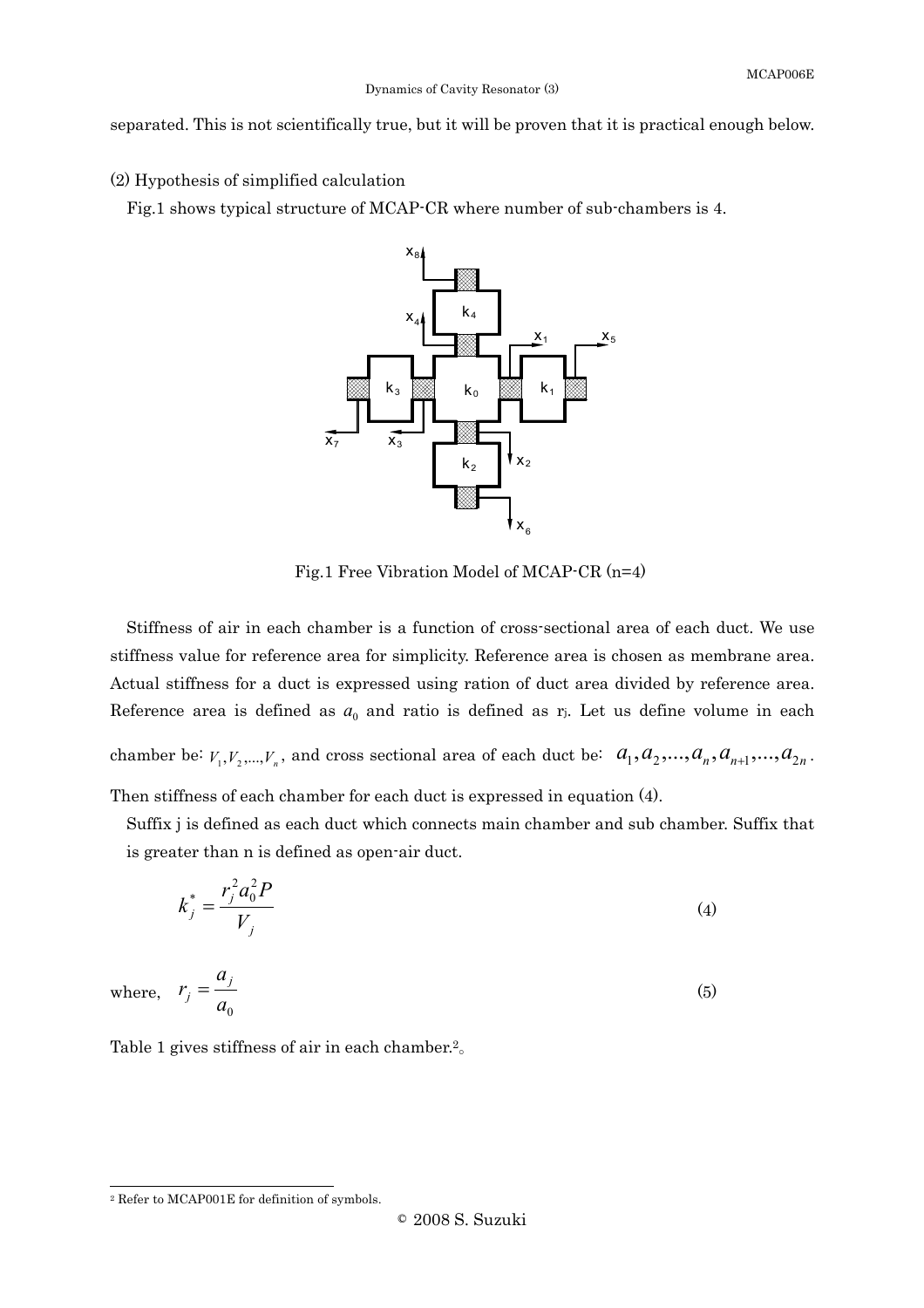separated. This is not scientifically true, but it will be proven that it is practical enough below.

(2) Hypothesis of simplified calculation

Fig.1 shows typical structure of MCAP-CR where number of sub-chambers is 4.



Fig.1 Free Vibration Model of MCAP-CR (n=4)

Stiffness of air in each chamber is a function of cross-sectional area of each duct. We use stiffness value for reference area for simplicity. Reference area is chosen as membrane area. Actual stiffness for a duct is expressed using ration of duct area divided by reference area. Reference area is defined as  $a_0$  and ratio is defined as  $r_j$ . Let us define volume in each chamber be:  $V_1, V_2, ..., V_n$ , and cross sectional area of each duct be:  $a_1, a_2, ..., a_n, a_{n+1}, ..., a_{2n}$ .

Then stiffness of each chamber for each duct is expressed in equation (4).

Suffix j is defined as each duct which connects main chamber and sub chamber. Suffix that is greater than n is defined as open-air duct.

$$
k_j^* = \frac{r_j^2 a_0^2 P}{V_j}
$$
 (4)

where,  $a_{0}$ a  $r_j = \frac{a_j}{a}$  (5)

Table 1 gives stiffness of air in each chamber. $2^{\circ}$ 

l

<sup>2</sup> Refer to MCAP001E for definition of symbols.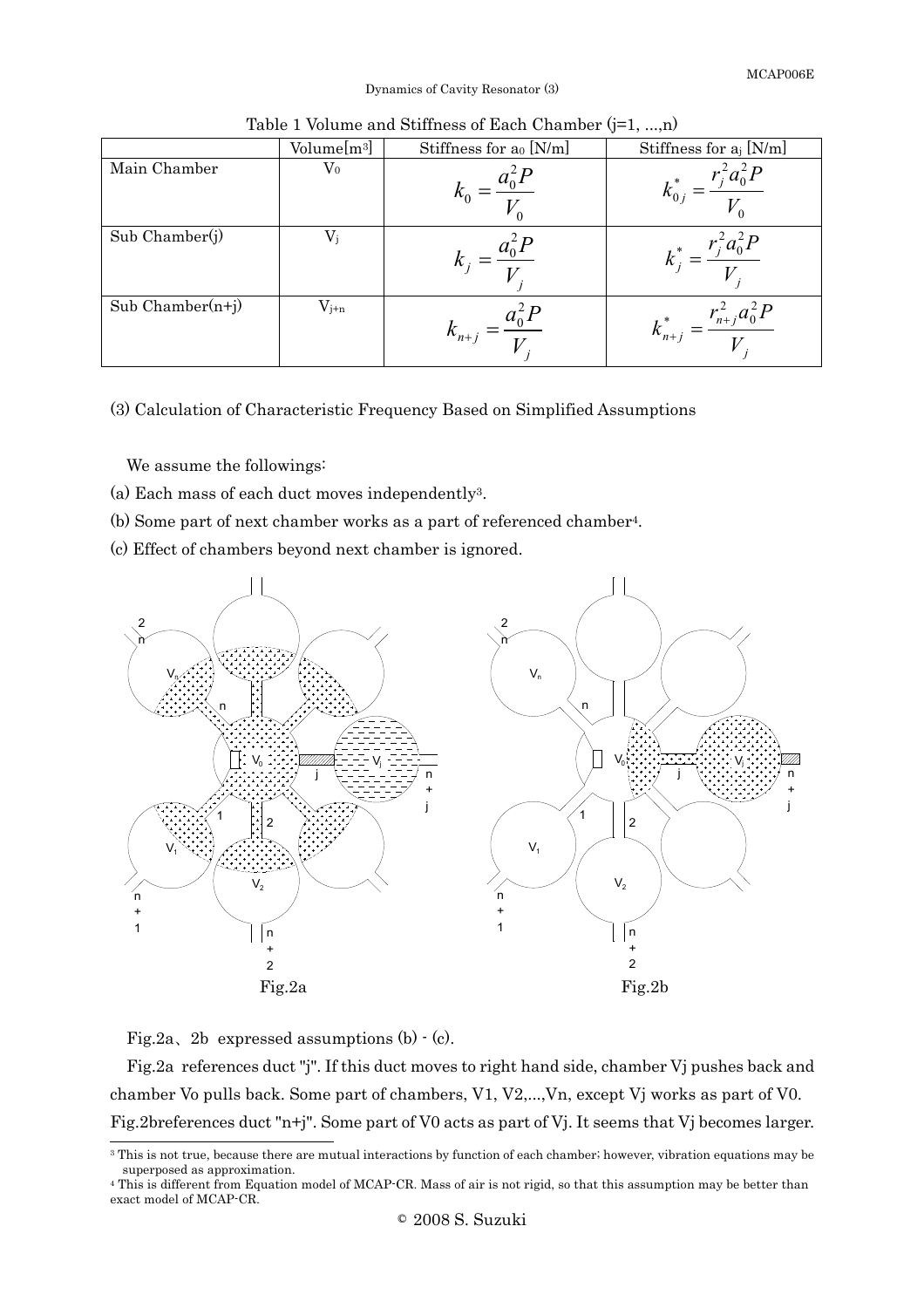Dynamics of Cavity Resonator (3)

|                    | Volume[m <sup>3</sup> ] | Stiffness for ao [N/m] | Stiffness for $a_j$ [N/m]                |
|--------------------|-------------------------|------------------------|------------------------------------------|
| Main Chamber       | $\rm V_0$               |                        |                                          |
| Sub Chamber(j)     | $V_{\rm j}$             | n                      | $k^* = \frac{r_j^2 a_0^2 P}{r_j^2}$<br>T |
| $Sub Chamber(n+j)$ | $V_{j+n}$               | $k_{n+j}$              | $r_{n+j}^2 a_0^2 P$<br>$k_{n+j}^*$       |

Table 1 Volume and Stiffness of Each Chamber (j=1, ...,n)

(3) Calculation of Characteristic Frequency Based on Simplified Assumptions

We assume the followings:

- (a) Each mass of each duct moves independently3.
- (b) Some part of next chamber works as a part of referenced chamber4.
- (c) Effect of chambers beyond next chamber is ignored.



Fig.2a, 2b expressed assumptions  $(b)$   $\cdot$   $(c)$ .

Fig.2a references duct "j". If this duct moves to right hand side, chamber Vj pushes back and chamber Vo pulls back. Some part of chambers, V1, V2,...,Vn, except Vj works as part of V0. Fig.2breferences duct "n+j". Some part of V0 acts as part of Vj. It seems that Vj becomes larger.

l <sup>3</sup> This is not true, because there are mutual interactions by function of each chamber; however, vibration equations may be superposed as approximation.

<sup>4</sup> This is different from Equation model of MCAP-CR. Mass of air is not rigid, so that this assumption may be better than exact model of MCAP-CR.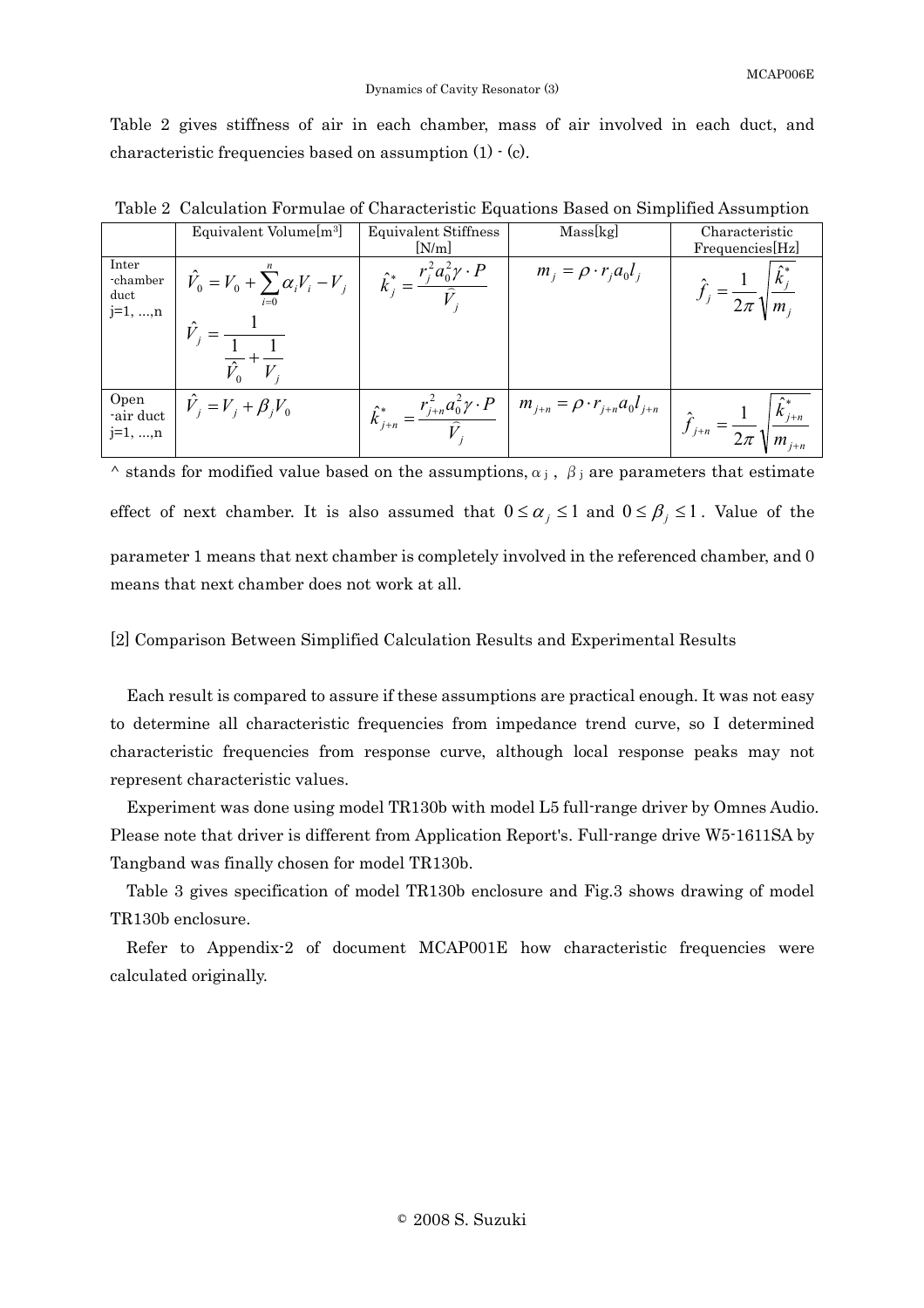Table 2 gives stiffness of air in each chamber, mass of air involved in each duct, and characteristic frequencies based on assumption (1) - (c).

|                                         | Equivalent Volume[m <sup>3]</sup>                 | Equivalent Stiffness<br>[N/m]                                            | Mass[kg]                                   | Characteristic<br>Frequencies[Hz] |
|-----------------------------------------|---------------------------------------------------|--------------------------------------------------------------------------|--------------------------------------------|-----------------------------------|
| Inter<br>-chamber<br>duct<br>$j=1, , n$ | $\hat{V}_0 = V_0 + \sum_{i=0} \alpha_i V_i - V_j$ | $\hat{k}_{i}^{*} = \frac{r_{j}^{2} a_{0}^{2} \gamma \cdot P}{r_{i}^{2}}$ | $m_j = \rho \cdot r_j a_0 l_j$             | $\parallel m$                     |
| Open<br>-air duct<br>$j=1, , n$         | $V_i = V_i + \beta_i V_0$                         | $\hat{k}_{j+n}^* = \frac{r_{j+n}^2 a_0^2 \gamma \cdot P}{\hat{V}}$       | $m_{j+n} = \rho \cdot r_{j+n} a_0 l_{j+n}$ | $k_{j+n}$<br>$J_{j+n}$            |

 $\land$  stands for modified value based on the assumptions,  $\alpha_j$ ,  $\beta_j$  are parameters that estimate effect of next chamber. It is also assumed that  $0 \le \alpha_j \le 1$  and  $0 \le \beta_j \le 1$ . Value of the parameter 1 means that next chamber is completely involved in the referenced chamber, and 0 means that next chamber does not work at all.

### [2] Comparison Between Simplified Calculation Results and Experimental Results

Each result is compared to assure if these assumptions are practical enough. It was not easy to determine all characteristic frequencies from impedance trend curve, so I determined characteristic frequencies from response curve, although local response peaks may not represent characteristic values.

Experiment was done using model TR130b with model L5 full-range driver by Omnes Audio. Please note that driver is different from Application Report's. Full-range drive W5-1611SA by Tangband was finally chosen for model TR130b.

Table 3 gives specification of model TR130b enclosure and Fig.3 shows drawing of model TR130b enclosure.

Refer to Appendix-2 of document MCAP001E how characteristic frequencies were calculated originally.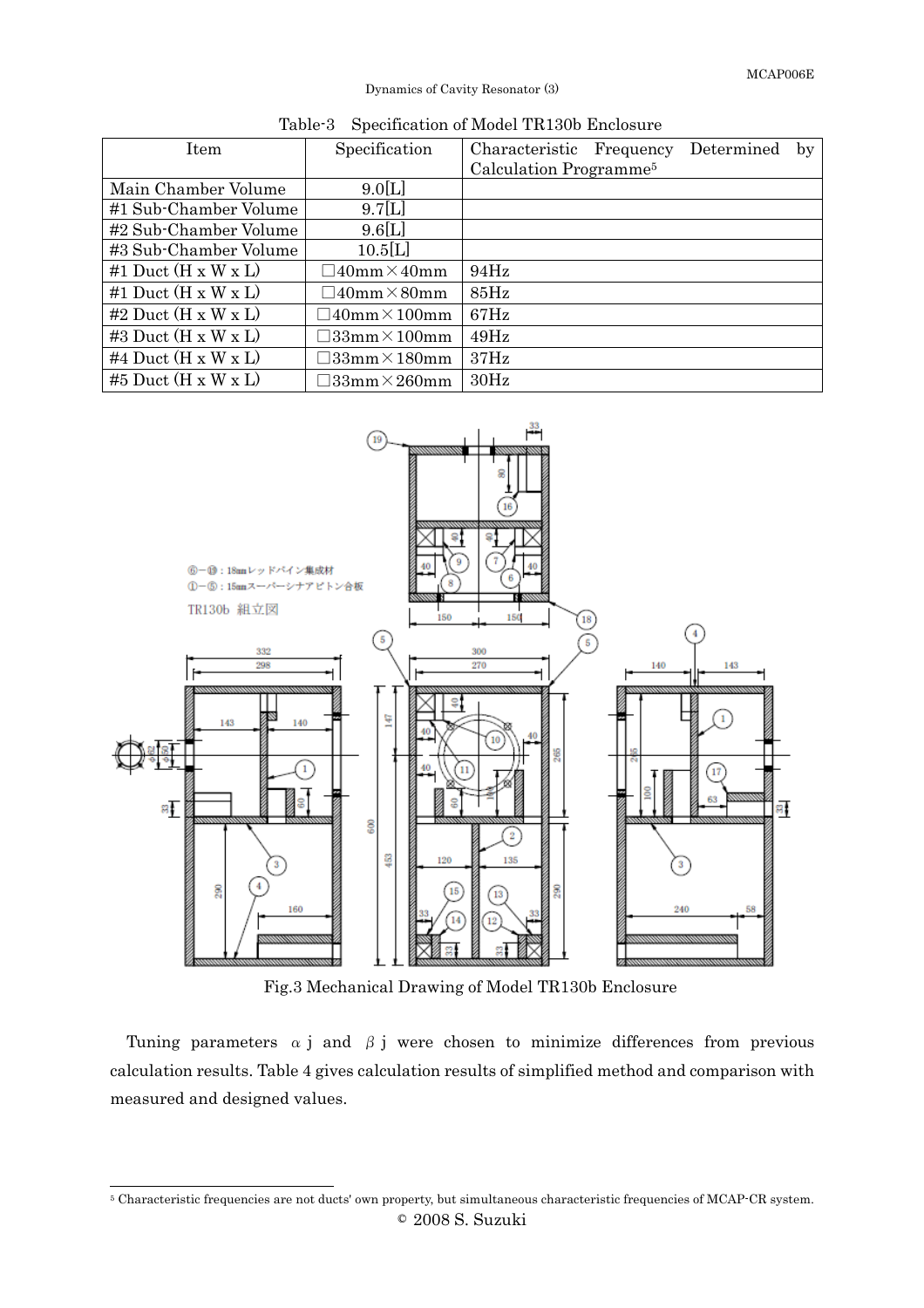## Dynamics of Cavity Resonator (3)

| Item                            | Specification                 | Characteristic                     | Frequency | Determined | by |
|---------------------------------|-------------------------------|------------------------------------|-----------|------------|----|
|                                 |                               | Calculation Programme <sup>5</sup> |           |            |    |
| Main Chamber Volume             | 9.0[L]                        |                                    |           |            |    |
| #1 Sub-Chamber Volume           | 9.7[L]                        |                                    |           |            |    |
| #2 Sub-Chamber Volume           | 9.6[L]                        |                                    |           |            |    |
| #3 Sub-Chamber Volume           | 10.5[L]                       |                                    |           |            |    |
| #1 Duct $(H \times W \times L)$ | $40$ mm $\times 40$ mm        | 94Hz                               |           |            |    |
| #1 Duct $(H \times W \times L)$ | $140$ mm $\times 80$ mm       | $85\text{Hz}$                      |           |            |    |
| #2 Duct $(H \times W \times L)$ | $\neg$ 40mm $\times$ 100mm    | 67Hz                               |           |            |    |
| #3 Duct $(H \times W \times L)$ | $\exists$ 33mm $\times$ 100mm | 49Hz                               |           |            |    |
| #4 Duct $(H \times W \times L)$ | $\Box 33$ mm $\times 180$ mm  | 37Hz                               |           |            |    |
| #5 Duct $(H \times W \times L)$ | $\Box 33$ mm $\times 260$ mm  | 30Hz                               |           |            |    |





Fig.3 Mechanical Drawing of Model TR130b Enclosure

Tuning parameters  $\alpha$  j and  $\beta$  j were chosen to minimize differences from previous calculation results. Table 4 gives calculation results of simplified method and comparison with measured and designed values.

l

<sup>©</sup> 2008 S. Suzuki 5 Characteristic frequencies are not ducts' own property, but simultaneous characteristic frequencies of MCAP-CR system.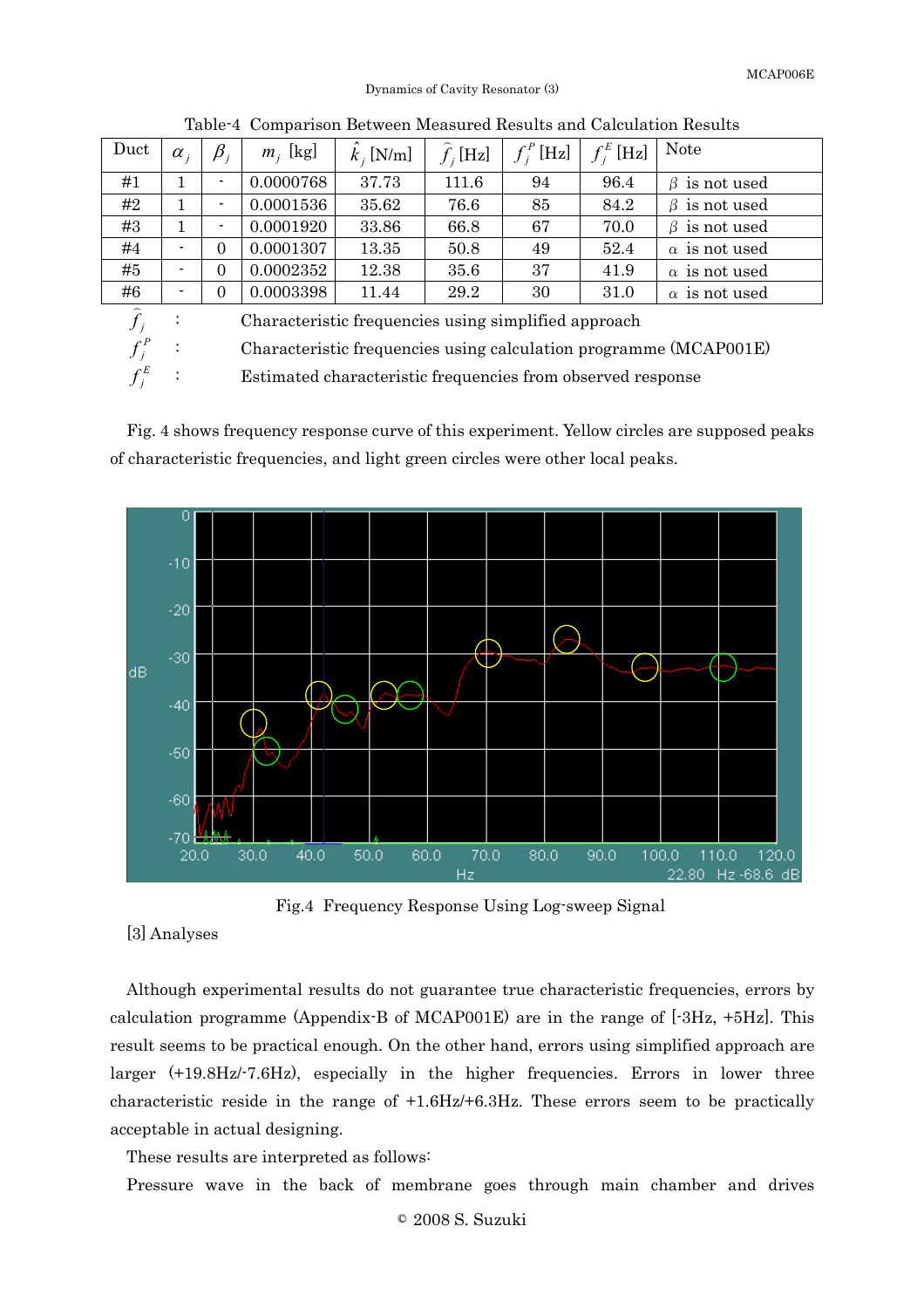Dynamics of Cavity Resonator (3)

| Duct | $\alpha$ .                                           | $\beta_i$                | $m_i$ [kg] | $k$ , [N/m] | $f_i[Hz]$ | $f_i^P$ [Hz] | $f_i^E$ [Hz] | <b>Note</b>          |
|------|------------------------------------------------------|--------------------------|------------|-------------|-----------|--------------|--------------|----------------------|
| #1   |                                                      | $\blacksquare$           | 0.0000768  | 37.73       | 111.6     | 94           | 96.4         | $\beta$ is not used  |
| #2   | 1                                                    | $\overline{\phantom{a}}$ | 0.0001536  | 35.62       | 76.6      | 85           | 84.2         | $\beta$ is not used  |
| #3   | 1                                                    | $\blacksquare$           | 0.0001920  | 33.86       | 66.8      | 67           | 70.0         | $\beta$ is not used  |
| #4   | $\blacksquare$                                       | $\Omega$                 | 0.0001307  | 13.35       | 50.8      | 49           | 52.4         | $\alpha$ is not used |
| #5   |                                                      | $\Omega$                 | 0.0002352  | 12.38       | 35.6      | 37           | 41.9         | $\alpha$ is not used |
| #6   | $\blacksquare$                                       | $\boldsymbol{0}$         | 0.0003398  | 11.44       | 29.2      | 30           | 31.0         | $\alpha$ is not used |
|      | Characteristic frequencies using simplified approach |                          |            |             |           |              |              |                      |

Table-4 Comparison Between Measured Results and Calculation Results

: Characteristic frequencies using calculation programme (MCAP001E)

: Estimated characteristic frequencies from observed response

Fig. 4 shows frequency response curve of this experiment. Yellow circles are supposed peaks of characteristic frequencies, and light green circles were other local peaks.



Fig.4 Frequency Response Using Log-sweep Signal

### [3] Analyses

P j

E j

Although experimental results do not guarantee true characteristic frequencies, errors by calculation programme (Appendix-B of MCAP001E) are in the range of  $[-3Hz, +5Hz]$ . This result seems to be practical enough. On the other hand, errors using simplified approach are larger (+19.8Hz/-7.6Hz), especially in the higher frequencies. Errors in lower three characteristic reside in the range of +1.6Hz/+6.3Hz. These errors seem to be practically acceptable in actual designing.

These results are interpreted as follows:

Pressure wave in the back of membrane goes through main chamber and drives